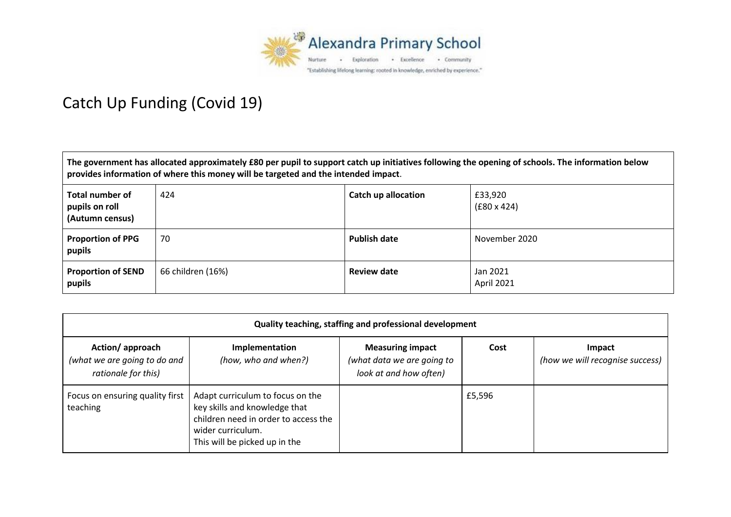

## Catch Up Funding (Covid 19)

**The government has allocated approximately £80 per pupil to support catch up initiatives following the opening of schools. The information below provides information of where this money will be targeted and the intended impact**.

| <b>Total number of</b><br>pupils on roll<br>(Autumn census) | 424               | Catch up allocation | £33,920<br>$(E80 \times 424)$ |
|-------------------------------------------------------------|-------------------|---------------------|-------------------------------|
| <b>Proportion of PPG</b><br>pupils                          | 70                | <b>Publish date</b> | November 2020                 |
| <b>Proportion of SEND</b><br>pupils                         | 66 children (16%) | <b>Review date</b>  | Jan 2021<br>April 2021        |

| Quality teaching, staffing and professional development                |                                                                                                                                                                 |                                                                                 |        |                                           |  |
|------------------------------------------------------------------------|-----------------------------------------------------------------------------------------------------------------------------------------------------------------|---------------------------------------------------------------------------------|--------|-------------------------------------------|--|
| Action/approach<br>(what we are going to do and<br>rationale for this) | <b>Implementation</b><br>(how, who and when?)                                                                                                                   | <b>Measuring impact</b><br>(what data we are going to<br>look at and how often) | Cost   | Impact<br>(how we will recognise success) |  |
| Focus on ensuring quality first<br>teaching                            | Adapt curriculum to focus on the<br>key skills and knowledge that<br>children need in order to access the<br>wider curriculum.<br>This will be picked up in the |                                                                                 | £5,596 |                                           |  |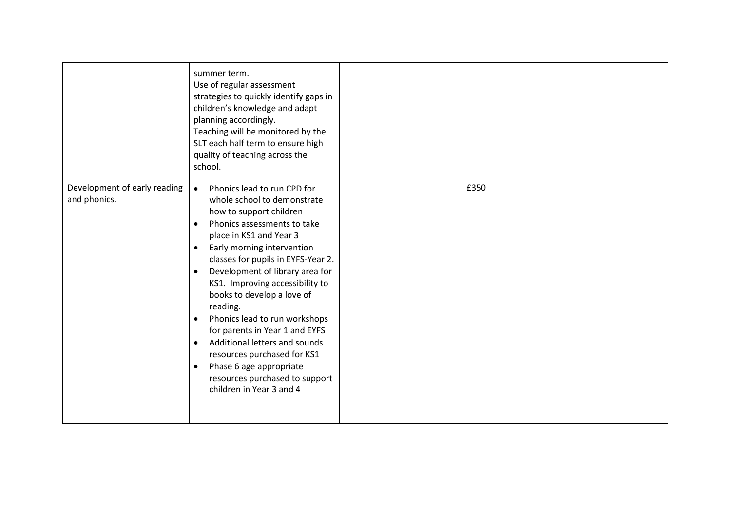|                                              | summer term.<br>Use of regular assessment<br>strategies to quickly identify gaps in<br>children's knowledge and adapt<br>planning accordingly.<br>Teaching will be monitored by the<br>SLT each half term to ensure high<br>quality of teaching across the<br>school.                                                                                                                                                                                                                                                                                                                                                                                      |      |  |
|----------------------------------------------|------------------------------------------------------------------------------------------------------------------------------------------------------------------------------------------------------------------------------------------------------------------------------------------------------------------------------------------------------------------------------------------------------------------------------------------------------------------------------------------------------------------------------------------------------------------------------------------------------------------------------------------------------------|------|--|
| Development of early reading<br>and phonics. | Phonics lead to run CPD for<br>$\bullet$<br>whole school to demonstrate<br>how to support children<br>Phonics assessments to take<br>$\bullet$<br>place in KS1 and Year 3<br>Early morning intervention<br>$\bullet$<br>classes for pupils in EYFS-Year 2.<br>Development of library area for<br>$\bullet$<br>KS1. Improving accessibility to<br>books to develop a love of<br>reading.<br>Phonics lead to run workshops<br>$\bullet$<br>for parents in Year 1 and EYFS<br>Additional letters and sounds<br>$\bullet$<br>resources purchased for KS1<br>Phase 6 age appropriate<br>$\bullet$<br>resources purchased to support<br>children in Year 3 and 4 | £350 |  |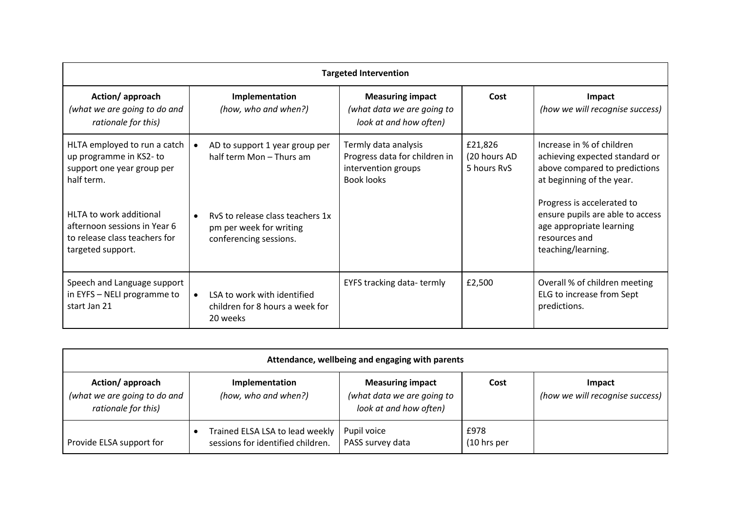| <b>Targeted Intervention</b>                                                                                                                                                                                        |                                                                                                                                                                               |                                                                                            |                                        |                                                                                                                                                                                                                                                                |
|---------------------------------------------------------------------------------------------------------------------------------------------------------------------------------------------------------------------|-------------------------------------------------------------------------------------------------------------------------------------------------------------------------------|--------------------------------------------------------------------------------------------|----------------------------------------|----------------------------------------------------------------------------------------------------------------------------------------------------------------------------------------------------------------------------------------------------------------|
| Action/approach<br>(what we are going to do and<br>rationale for this)                                                                                                                                              | Implementation<br>(how, who and when?)                                                                                                                                        | <b>Measuring impact</b><br>(what data we are going to<br>look at and how often)            | Cost                                   | Impact<br>(how we will recognise success)                                                                                                                                                                                                                      |
| HLTA employed to run a catch<br>up programme in KS2-to<br>support one year group per<br>half term.<br>HLTA to work additional<br>afternoon sessions in Year 6<br>to release class teachers for<br>targeted support. | AD to support 1 year group per<br>$\bullet$<br>half term Mon - Thurs am<br>RyS to release class teachers 1x<br>$\bullet$<br>pm per week for writing<br>conferencing sessions. | Termly data analysis<br>Progress data for children in<br>intervention groups<br>Book looks | £21,826<br>(20 hours AD<br>5 hours RvS | Increase in % of children<br>achieving expected standard or<br>above compared to predictions<br>at beginning of the year.<br>Progress is accelerated to<br>ensure pupils are able to access<br>age appropriate learning<br>resources and<br>teaching/learning. |
| Speech and Language support<br>in EYFS - NELI programme to<br>start Jan 21                                                                                                                                          | LSA to work with identified<br>children for 8 hours a week for<br>20 weeks                                                                                                    | EYFS tracking data-termly                                                                  | £2,500                                 | Overall % of children meeting<br>ELG to increase from Sept<br>predictions.                                                                                                                                                                                     |

| Attendance, wellbeing and engaging with parents                        |                                                                      |                                                                                 |                     |                                           |
|------------------------------------------------------------------------|----------------------------------------------------------------------|---------------------------------------------------------------------------------|---------------------|-------------------------------------------|
| Action/approach<br>(what we are going to do and<br>rationale for this) | Implementation<br>(how, who and when?)                               | <b>Measuring impact</b><br>(what data we are going to<br>look at and how often) | Cost                | Impact<br>(how we will recognise success) |
| Provide ELSA support for                                               | Trained ELSA LSA to lead weekly<br>sessions for identified children. | Pupil voice<br>PASS survey data                                                 | £978<br>(10 hrs per |                                           |